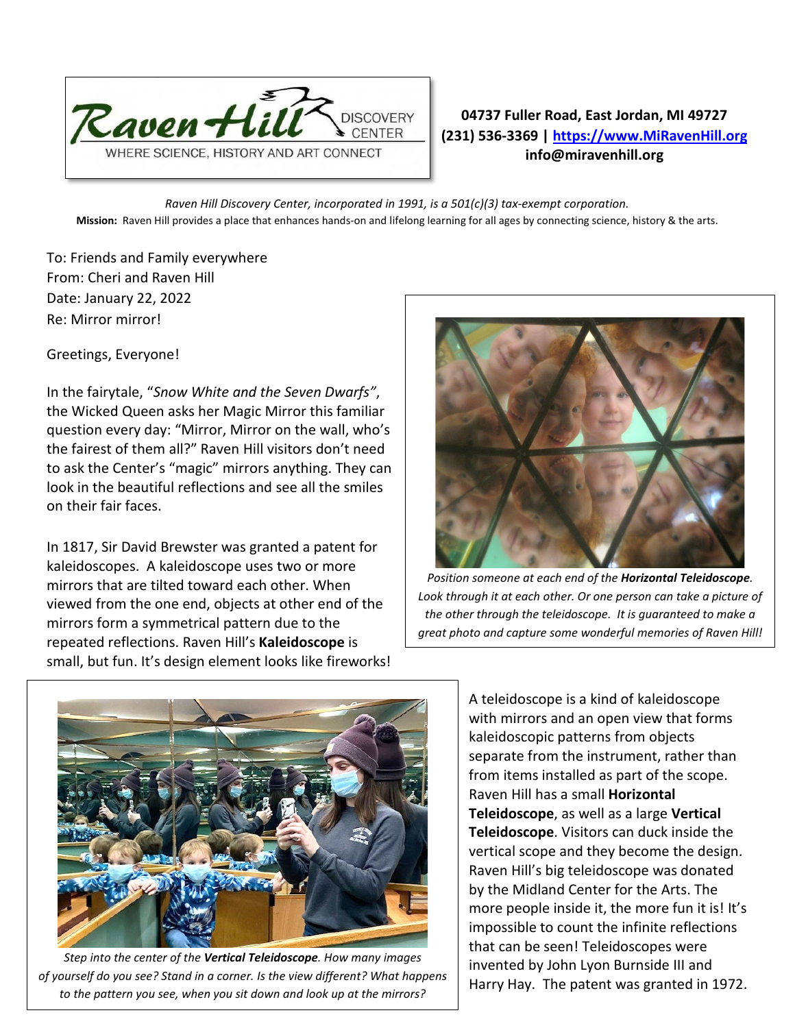

## **04737 Fuller Road, East Jordan, MI 49727 (231) 536-3369 | [https://www.MiRavenHill.org](https://www.miravenhill.org/) info@miravenhill.org**

*Raven Hill Discovery Center, incorporated in 1991, is a 501(c)(3) tax-exempt corporation.* **Mission:** Raven Hill provides a place that enhances hands-on and lifelong learning for all ages by connecting science, history & the arts.

To: Friends and Family everywhere From: Cheri and Raven Hill Date: January 22, 2022 Re: Mirror mirror!

Greetings, Everyone!

In the fairytale, "*Snow White and the Seven Dwarfs"*, the Wicked Queen asks her Magic Mirror this familiar question every day: "Mirror, Mirror on the wall, who's the fairest of them all?" Raven Hill visitors don't need to ask the Center's "magic" mirrors anything. They can look in the beautiful reflections and see all the smiles on their fair faces.

In 1817, [Sir David Brewster](https://en.wikipedia.org/wiki/David_Brewster) was granted a patent for kaleidoscopes. A kaleidoscope uses two or more mirrors that are tilted toward each other. When viewed from the one end, objects at other end of the mirrors form a symmetrical pattern due to the repeated reflections. Raven Hill's **Kaleidoscope** is small, but fun. It's design element looks like fireworks!



*Position someone at each end of the Horizontal Teleidoscope.*  Look through it at each other. Or one person can take a picture of *the other through the teleidoscope. It is guaranteed to make a great photo and capture some wonderful memories of Raven Hill!*



*Step into the center of the Vertical Teleidoscope. How many images of yourself do you see? Stand in a corner. Is the view different? What happens to the pattern you see, when you sit down and look up at the mirrors?*

A teleidoscope is a kind of kaleidoscope with mirrors and an open view that forms kaleidoscopic patterns from objects separate from the instrument, rather than from items installed as part of the scope. Raven Hill has a small **Horizontal Teleidoscope**, as well as a large **Vertical Teleidoscope**. Visitors can duck inside the vertical scope and they become the design. Raven Hill's big teleidoscope was donated by the Midland Center for the Arts. The more people inside it, the more fun it is! It's impossible to count the infinite reflections that can be seen! Teleidoscopes were invented by John Lyon Burnside III and Harry Hay. The patent was granted in 1972.